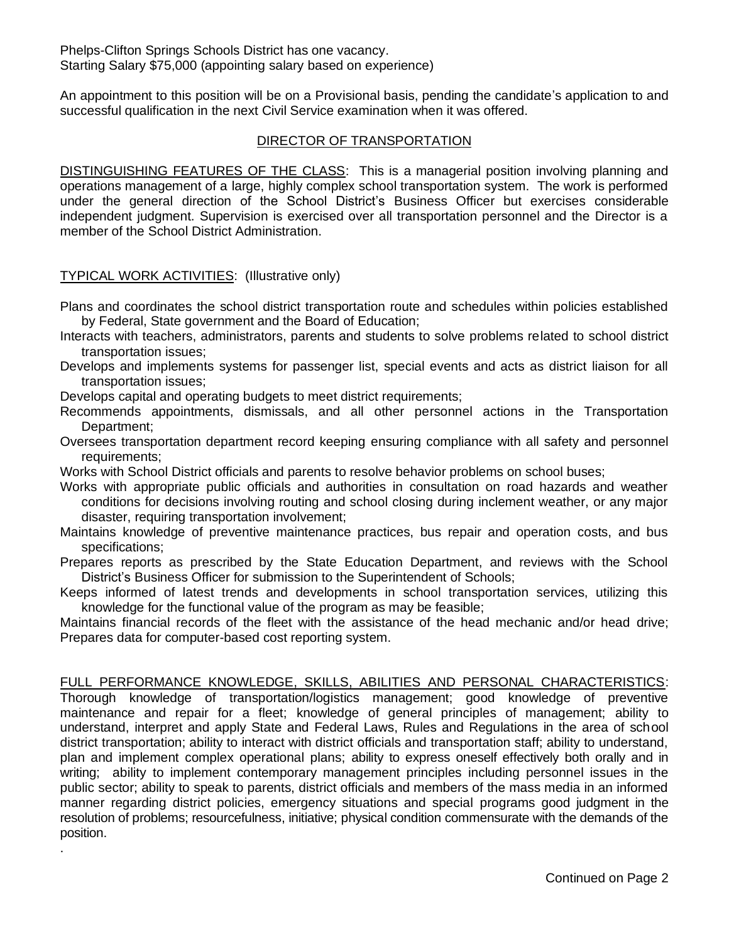An appointment to this position will be on a Provisional basis, pending the candidate's application to and successful qualification in the next Civil Service examination when it was offered.

# DIRECTOR OF TRANSPORTATION

DISTINGUISHING FEATURES OF THE CLASS: This is a managerial position involving planning and operations management of a large, highly complex school transportation system. The work is performed under the general direction of the School District's Business Officer but exercises considerable independent judgment. Supervision is exercised over all transportation personnel and the Director is a member of the School District Administration.

### TYPICAL WORK ACTIVITIES: (Illustrative only)

.

- Plans and coordinates the school district transportation route and schedules within policies established by Federal, State government and the Board of Education;
- Interacts with teachers, administrators, parents and students to solve problems related to school district transportation issues;
- Develops and implements systems for passenger list, special events and acts as district liaison for all transportation issues;

Develops capital and operating budgets to meet district requirements;

- Recommends appointments, dismissals, and all other personnel actions in the Transportation Department;
- Oversees transportation department record keeping ensuring compliance with all safety and personnel requirements;
- Works with School District officials and parents to resolve behavior problems on school buses;
- Works with appropriate public officials and authorities in consultation on road hazards and weather conditions for decisions involving routing and school closing during inclement weather, or any major disaster, requiring transportation involvement;
- Maintains knowledge of preventive maintenance practices, bus repair and operation costs, and bus specifications;
- Prepares reports as prescribed by the State Education Department, and reviews with the School District's Business Officer for submission to the Superintendent of Schools;
- Keeps informed of latest trends and developments in school transportation services, utilizing this knowledge for the functional value of the program as may be feasible;

Maintains financial records of the fleet with the assistance of the head mechanic and/or head drive; Prepares data for computer-based cost reporting system.

### FULL PERFORMANCE KNOWLEDGE, SKILLS, ABILITIES AND PERSONAL CHARACTERISTICS:

Thorough knowledge of transportation/logistics management; good knowledge of preventive maintenance and repair for a fleet; knowledge of general principles of management; ability to understand, interpret and apply State and Federal Laws, Rules and Regulations in the area of school district transportation; ability to interact with district officials and transportation staff; ability to understand, plan and implement complex operational plans; ability to express oneself effectively both orally and in writing; ability to implement contemporary management principles including personnel issues in the public sector; ability to speak to parents, district officials and members of the mass media in an informed manner regarding district policies, emergency situations and special programs good judgment in the resolution of problems; resourcefulness, initiative; physical condition commensurate with the demands of the position.